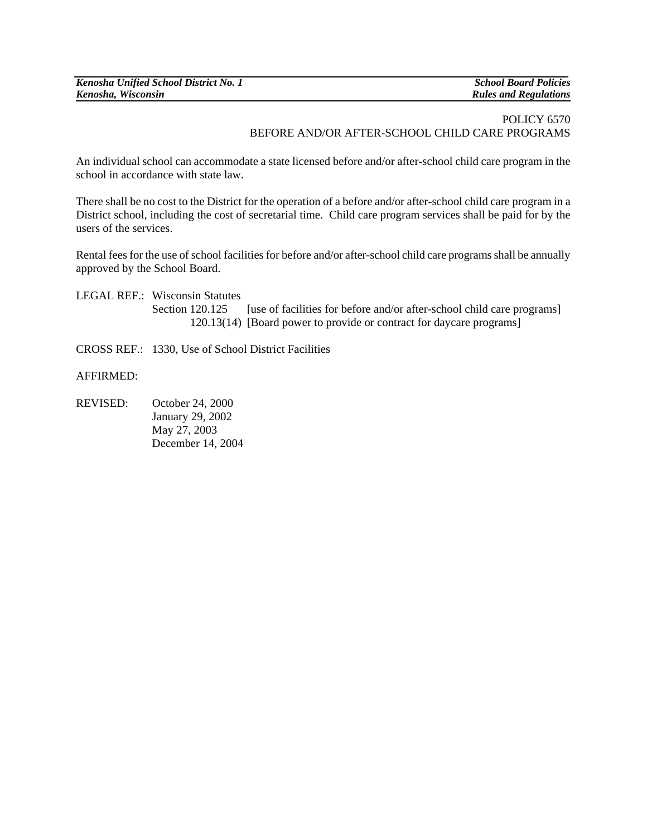## POLICY 6570 BEFORE AND/OR AFTER-SCHOOL CHILD CARE PROGRAMS

An individual school can accommodate a state licensed before and/or after-school child care program in the school in accordance with state law.

There shall be no cost to the District for the operation of a before and/or after-school child care program in a District school, including the cost of secretarial time. Child care program services shall be paid for by the users of the services.

Rental fees for the use of school facilities for before and/or after-school child care programs shall be annually approved by the School Board.

- LEGAL REF.: Wisconsin Statutes Section 120.125 [use of facilities for before and/or after-school child care programs] 120.13(14) [Board power to provide or contract for daycare programs]
- CROSS REF.: 1330, Use of School District Facilities

AFFIRMED:

REVISED: October 24, 2000 January 29, 2002 May 27, 2003 December 14, 2004